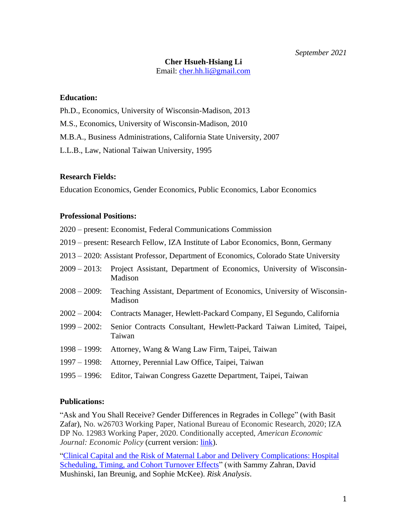# **Cher Hsueh-Hsiang Li**

Email: [cher.hh.li@gmail.com](mailto:cher.hh.li@gmail.com)

#### **Education:**

Ph.D., Economics, University of Wisconsin-Madison, 2013

M.S., Economics, University of Wisconsin-Madison, 2010

M.B.A., Business Administrations, California State University, 2007

L.L.B., Law, National Taiwan University, 1995

#### **Research Fields:**

Education Economics, Gender Economics, Public Economics, Labor Economics

### **Professional Positions:**

- 2020 present: Economist, Federal Communications Commission
- 2019 present: Research Fellow, IZA Institute of Labor Economics, Bonn, Germany
- 2013 2020: Assistant Professor, Department of Economics, Colorado State University
- 2009 2013: Project Assistant, Department of Economics, University of Wisconsin-Madison
- 2008 2009: Teaching Assistant, Department of Economics, University of Wisconsin-Madison
- 2002 2004: Contracts Manager, Hewlett-Packard Company, El Segundo, California
- 1999 2002: Senior Contracts Consultant, Hewlett-Packard Taiwan Limited, Taipei, Taiwan
- 1998 1999: Attorney, Wang & Wang Law Firm, Taipei, Taiwan
- 1997 1998: Attorney, Perennial Law Office, Taipei, Taiwan
- 1995 1996: Editor, Taiwan Congress Gazette Department, Taipei, Taiwan

#### **Publications:**

"Ask and You Shall Receive? Gender Differences in Regrades in College" (with Basit Zafar), No. w26703 Working Paper, National Bureau of Economic Research, 2020; IZA DP No. 12983 Working Paper, 2020. Conditionally accepted, *American Economic Journal: Economic Policy* (current version: *link*).

["Clinical Capital and the Risk of Maternal Labor and Delivery Complications: Hospital](/Users/cherli/Documents/JobSearch/10.1111/risa.13273)  [Scheduling, Timing, and Cohort Turnover Effects"](/Users/cherli/Documents/JobSearch/10.1111/risa.13273) (with Sammy Zahran, David Mushinski, Ian Breunig, and Sophie McKee). *Risk Analysis*.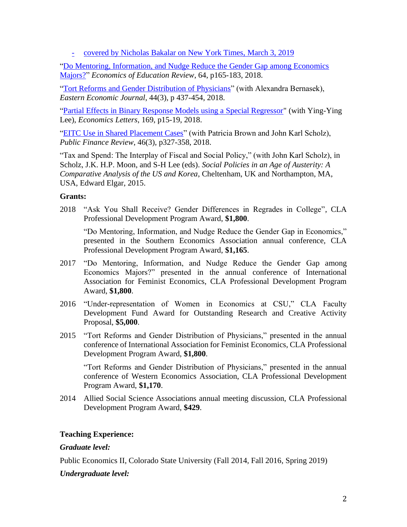- covered by Nicholas Bakalar on [New York Times,](https://www.nytimes.com/2019/03/04/well/family/hospital-pregnancy-childbirth-delivery-complications.html) March 3, 2019

["Do Mentoring, Information, and Nudge Reduce the Gender Gap among Economics](https://doi.org/10.1016/j.econedurev.2018.04.004)  [Majors?"](https://doi.org/10.1016/j.econedurev.2018.04.004) *Economics of Education Review*, 64, p165-183, 2018.

["Tort Reforms and Gender Distribution](https://doi.org/10.1057/s41302-018-0107-8) of Physicians" (with Alexandra Bernasek), *Eastern Economic Journal*, 44(3), p 437-454, 2018.

["Partial Effects in Binary Response Models using a Special Regressor"](https://doi.org/10.1016/j.econlet.2018.05.002) (with Ying-Ying Lee), *Economics Letters*, 169, p15-19, 2018.

["EITC Use in Shared Placement Cases"](https://doi.org/10.1177/1091142116629204) (with Patricia Brown and John Karl Scholz), *Public Finance Review*, 46(3), p327-358, 2018.

"Tax and Spend: The Interplay of Fiscal and Social Policy," (with John Karl Scholz), in Scholz, J.K. H.P. Moon, and S-H Lee (eds). *Social Policies in an Age of Austerity: A Comparative Analysis of the US and Korea*, Cheltenham, UK and Northampton, MA, USA, Edward Elgar, 2015.

### **Grants:**

2018 "Ask You Shall Receive? Gender Differences in Regrades in College", CLA Professional Development Program Award, **\$1,800**.

"Do Mentoring, Information, and Nudge Reduce the Gender Gap in Economics," presented in the Southern Economics Association annual conference, CLA Professional Development Program Award, **\$1,165**.

- 2017 "Do Mentoring, Information, and Nudge Reduce the Gender Gap among Economics Majors?" presented in the annual conference of International Association for Feminist Economics, CLA Professional Development Program Award, **\$1,800**.
- 2016 "Under-representation of Women in Economics at CSU," CLA Faculty Development Fund Award for Outstanding Research and Creative Activity Proposal, **\$5,000**.
- 2015 "Tort Reforms and Gender Distribution of Physicians," presented in the annual conference of International Association for Feminist Economics, CLA Professional Development Program Award, **\$1,800**.

"Tort Reforms and Gender Distribution of Physicians," presented in the annual conference of Western Economics Association, CLA Professional Development Program Award, **\$1,170**.

2014 Allied Social Science Associations annual meeting discussion, CLA Professional Development Program Award, **\$429**.

### **Teaching Experience:**

### *Graduate level:*

Public Economics II, Colorado State University (Fall 2014, Fall 2016, Spring 2019)

# *Undergraduate level:*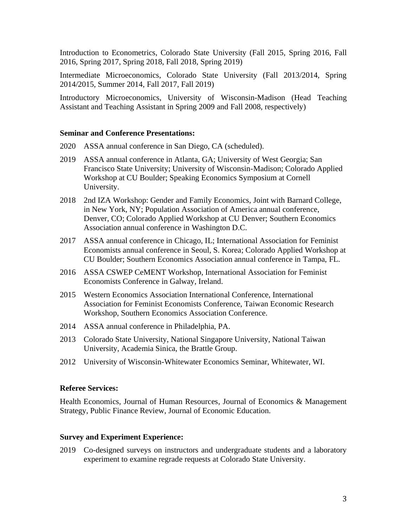Introduction to Econometrics, Colorado State University (Fall 2015, Spring 2016, Fall 2016, Spring 2017, Spring 2018, Fall 2018, Spring 2019)

Intermediate Microeconomics, Colorado State University (Fall 2013/2014, Spring 2014/2015, Summer 2014, Fall 2017, Fall 2019)

Introductory Microeconomics, University of Wisconsin-Madison (Head Teaching Assistant and Teaching Assistant in Spring 2009 and Fall 2008, respectively)

#### **Seminar and Conference Presentations:**

- 2020 ASSA annual conference in San Diego, CA (scheduled).
- 2019 ASSA annual conference in Atlanta, GA; University of West Georgia; San Francisco State University; University of Wisconsin-Madison; Colorado Applied Workshop at CU Boulder; Speaking Economics Symposium at Cornell University.
- 2018 2nd IZA Workshop: Gender and Family Economics, Joint with Barnard College, in New York, NY; Population Association of America annual conference, Denver, CO; Colorado Applied Workshop at CU Denver; Southern Economics Association annual conference in Washington D.C.
- 2017 ASSA annual conference in Chicago, IL; International Association for Feminist Economists annual conference in Seoul, S. Korea; Colorado Applied Workshop at CU Boulder; Southern Economics Association annual conference in Tampa, FL.
- 2016 ASSA CSWEP CeMENT Workshop, International Association for Feminist Economists Conference in Galway, Ireland.
- 2015 Western Economics Association International Conference, International Association for Feminist Economists Conference, Taiwan Economic Research Workshop, Southern Economics Association Conference.
- 2014 ASSA annual conference in Philadelphia, PA.
- 2013 Colorado State University, National Singapore University, National Taiwan University, Academia Sinica, the Brattle Group.
- 2012 University of Wisconsin-Whitewater Economics Seminar, Whitewater, WI.

#### **Referee Services:**

Health Economics, Journal of Human Resources, Journal of Economics & Management Strategy, Public Finance Review, Journal of Economic Education.

#### **Survey and Experiment Experience:**

2019 Co-designed surveys on instructors and undergraduate students and a laboratory experiment to examine regrade requests at Colorado State University.